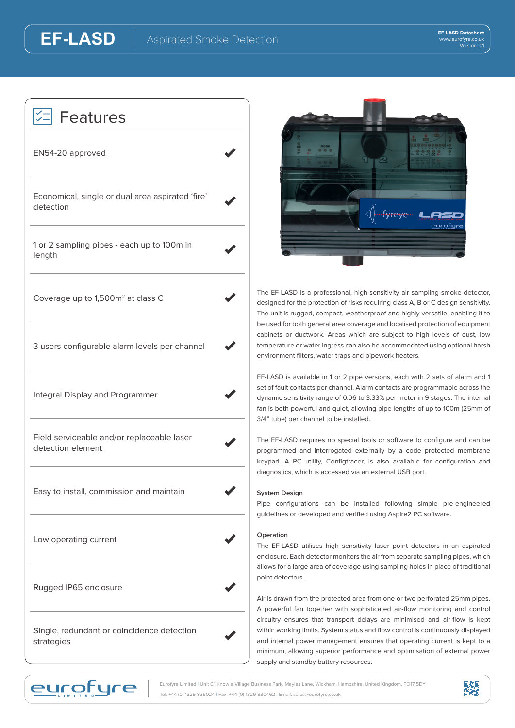| Features                                                        |  |
|-----------------------------------------------------------------|--|
| EN54-20 approved                                                |  |
| Economical, single or dual area aspirated 'fire'<br>detection   |  |
| 1 or 2 sampling pipes - each up to 100m in<br>length            |  |
| Coverage up to 1,500m <sup>2</sup> at class C                   |  |
| 3 users configurable alarm levels per channel                   |  |
| Integral Display and Programmer                                 |  |
| Field serviceable and/or replaceable laser<br>detection element |  |
| Easy to install, commission and maintain                        |  |
| Low operating current                                           |  |
| Rugged IP65 enclosure                                           |  |
| Single, redundant or coincidence detection<br>strategies        |  |

**EF-LASD**



The EF-LASD is a professional, high-sensitivity air sampling smoke detector, designed for the protection of risks requiring class A, B or C design sensitivity. The unit is rugged, compact, weatherproof and highly versatile, enabling it to be used for both general area coverage and localised protection of equipment cabinets or ductwork. Areas which are subject to high levels of dust, low temperature or water ingress can also be accommodated using optional harsh environment filters, water traps and pipework heaters.

EF-LASD is available in 1 or 2 pipe versions, each with 2 sets of alarm and 1 set of fault contacts per channel. Alarm contacts are programmable across the dynamic sensitivity range of 0.06 to 3.33% per meter in 9 stages. The internal fan is both powerful and quiet, allowing pipe lengths of up to 100m (25mm of 3/4" tube) per channel to be installed.

The EF-LASD requires no special tools or software to configure and can be programmed and interrogated externally by a code protected membrane keypad. A PC utility, Configtracer, is also available for configuration and diagnostics, which is accessed via an external USB port.

## **System Design**

Pipe configurations can be installed following simple pre-engineered guidelines or developed and verified using Aspire2 PC software.

## **Operation**

The EF-LASD utilises high sensitivity laser point detectors in an aspirated enclosure. Each detector monitors the air from separate sampling pipes, which allows for a large area of coverage using sampling holes in place of traditional point detectors.

Air is drawn from the protected area from one or two perforated 25mm pipes. A powerful fan together with sophisticated air-flow monitoring and control circuitry ensures that transport delays are minimised and air-flow is kept within working limits. System status and flow control is continuously displayed and internal power management ensures that operating current is kept to a minimum, allowing superior performance and optimisation of external power supply and standby battery resources.



Eurofyre Limited | Unit C1 Knowle Village Business Park, Mayles Lane, Wickham, Hampshire, United Kingdom, PO17 5DY Tel: +44 (0) 1329 835024 | Fax: +44 (0) 1329 830462 | Email: sales@eurofyre.co.uk

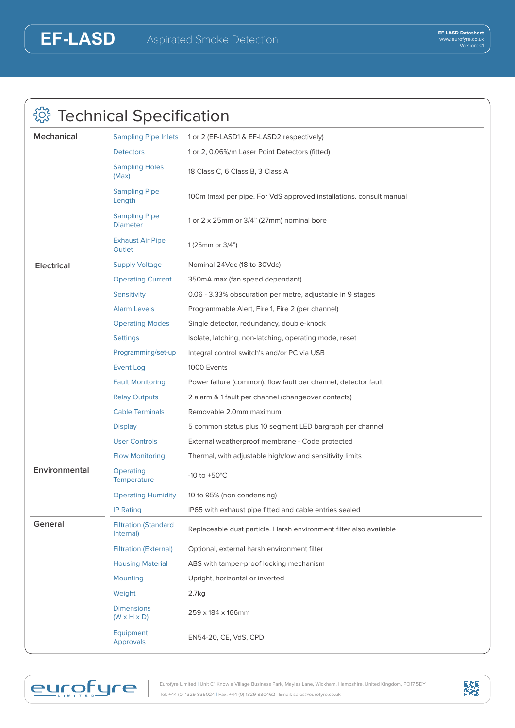| <b>Technical Specification</b> |                                              |                                                                     |  |  |
|--------------------------------|----------------------------------------------|---------------------------------------------------------------------|--|--|
| <b>Mechanical</b>              | <b>Sampling Pipe Inlets</b>                  | 1 or 2 (EF-LASD1 & EF-LASD2 respectively)                           |  |  |
|                                | <b>Detectors</b>                             | 1 or 2, 0.06%/m Laser Point Detectors (fitted)                      |  |  |
|                                | <b>Sampling Holes</b><br>(Max)               | 18 Class C, 6 Class B, 3 Class A                                    |  |  |
|                                | <b>Sampling Pipe</b><br>Length               | 100m (max) per pipe. For VdS approved installations, consult manual |  |  |
|                                | <b>Sampling Pipe</b><br><b>Diameter</b>      | 1 or 2 x 25mm or 3/4" (27mm) nominal bore                           |  |  |
|                                | <b>Exhaust Air Pipe</b><br>Outlet            | 1 (25mm or 3/4")                                                    |  |  |
| <b>Electrical</b>              | <b>Supply Voltage</b>                        | Nominal 24Vdc (18 to 30Vdc)                                         |  |  |
|                                | <b>Operating Current</b>                     | 350mA max (fan speed dependant)                                     |  |  |
|                                | Sensitivity                                  | 0.06 - 3.33% obscuration per metre, adjustable in 9 stages          |  |  |
|                                | <b>Alarm Levels</b>                          | Programmable Alert, Fire 1, Fire 2 (per channel)                    |  |  |
|                                | <b>Operating Modes</b>                       | Single detector, redundancy, double-knock                           |  |  |
|                                | <b>Settings</b>                              | Isolate, latching, non-latching, operating mode, reset              |  |  |
|                                | Programming/set-up                           | Integral control switch's and/or PC via USB                         |  |  |
|                                | <b>Event Log</b>                             | 1000 Events                                                         |  |  |
|                                | <b>Fault Monitoring</b>                      | Power failure (common), flow fault per channel, detector fault      |  |  |
|                                | <b>Relay Outputs</b>                         | 2 alarm & 1 fault per channel (changeover contacts)                 |  |  |
|                                | <b>Cable Terminals</b>                       | Removable 2.0mm maximum                                             |  |  |
|                                | <b>Display</b>                               | 5 common status plus 10 segment LED bargraph per channel            |  |  |
|                                | <b>User Controls</b>                         | External weatherproof membrane - Code protected                     |  |  |
|                                | <b>Flow Monitoring</b>                       | Thermal, with adjustable high/low and sensitivity limits            |  |  |
| Environmental                  | Operating<br><b>Temperature</b>              | -10 to $+50^{\circ}$ C                                              |  |  |
|                                | <b>Operating Humidity</b>                    | 10 to 95% (non condensing)                                          |  |  |
|                                | <b>IP Rating</b>                             | IP65 with exhaust pipe fitted and cable entries sealed              |  |  |
| General                        | <b>Filtration (Standard</b><br>Internal)     | Replaceable dust particle. Harsh environment filter also available  |  |  |
|                                | <b>Filtration (External)</b>                 | Optional, external harsh environment filter                         |  |  |
|                                | <b>Housing Material</b>                      | ABS with tamper-proof locking mechanism                             |  |  |
|                                | <b>Mounting</b>                              | Upright, horizontal or inverted                                     |  |  |
|                                | Weight                                       | 2.7kg                                                               |  |  |
|                                | <b>Dimensions</b><br>$(W \times H \times D)$ | 259 x 184 x 166mm                                                   |  |  |
|                                | Equipment<br><b>Approvals</b>                | EN54-20, CE, VdS, CPD                                               |  |  |



Eurofyre Limited | Unit C1 Knowle Village Business Park, Mayles Lane, Wickham, Hampshire, United Kingdom, PO17 5DY Tel: +44 (0) 1329 835024 | Fax: +44 (0) 1329 830462 | Email: sales@eurofyre.co.uk